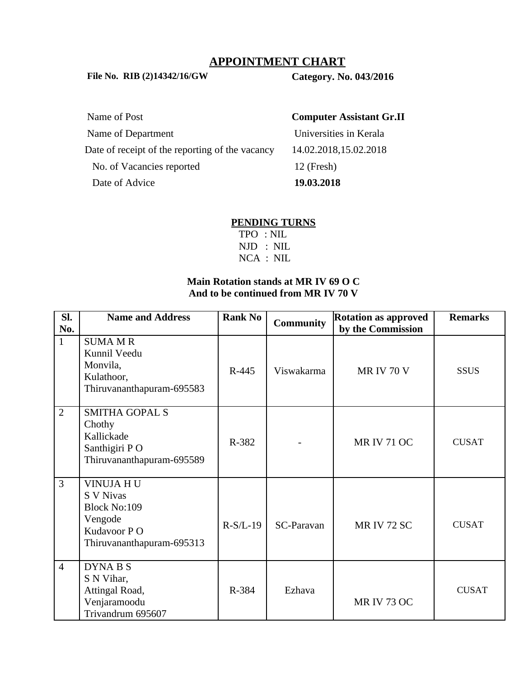## **APPOINTMENT CHART**

**File No. RIB (2)14342/16/GW Category. No. 043/2016**

Name of Post **Computer Assistant Gr.II** Name of Department View Universities in Kerala Date of receipt of the reporting of the vacancy 14.02.2018,15.02.2018 No. of Vacancies reported 12 (Fresh) Date of Advice **19.03.2018**

#### **PENDING TURNS**

 TPO : NIL NJD : NIL NCA : NIL

## **Main Rotation stands at MR IV 69 O C And to be continued from MR IV 70 V**

| SI.<br>No.     | <b>Name and Address</b>                                                                                     | <b>Rank No</b> | <b>Community</b> | <b>Rotation as approved</b><br>by the Commission | <b>Remarks</b> |
|----------------|-------------------------------------------------------------------------------------------------------------|----------------|------------------|--------------------------------------------------|----------------|
| $\mathbf{1}$   | <b>SUMA MR</b><br>Kunnil Veedu<br>Monvila,<br>Kulathoor,<br>Thiruvananthapuram-695583                       | R-445          | Viswakarma       | <b>MR IV 70 V</b>                                | <b>SSUS</b>    |
| $\overline{2}$ | <b>SMITHA GOPAL S</b><br>Chothy<br>Kallickade<br>Santhigiri PO<br>Thiruvananthapuram-695589                 | R-382          |                  | <b>MR IV 71 OC</b>                               | <b>CUSAT</b>   |
| $\overline{3}$ | VINUJA HU<br><b>S V Nivas</b><br><b>Block No:109</b><br>Vengode<br>Kudavoor PO<br>Thiruvananthapuram-695313 | $R-S/L-19$     | SC-Paravan       | <b>MR IV 72 SC</b>                               | <b>CUSAT</b>   |
| $\overline{4}$ | DYNA B S<br>S N Vihar,<br>Attingal Road,<br>Venjaramoodu<br>Trivandrum 695607                               | R-384          | Ezhava           | <b>MR IV 73 OC</b>                               | <b>CUSAT</b>   |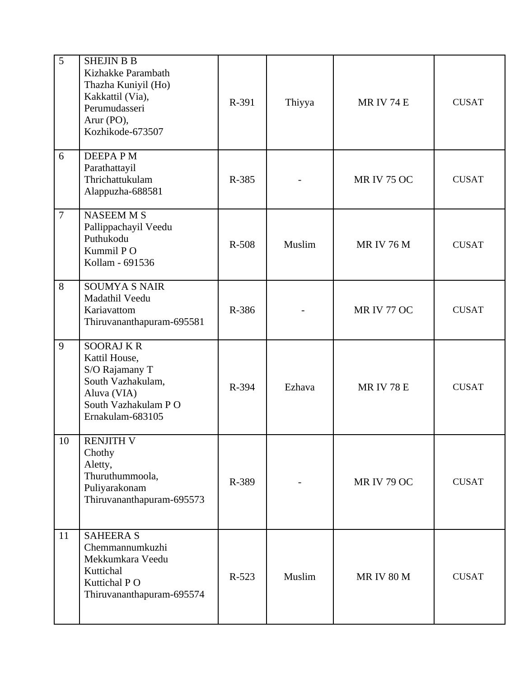| 5              | <b>SHEJIN B B</b><br>Kizhakke Parambath<br>Thazha Kuniyil (Ho)<br>Kakkattil (Via),<br>Perumudasseri<br>Arur (PO),<br>Kozhikode-673507 | R-391   | Thiyya | <b>MRIV 74 E</b>   | <b>CUSAT</b> |
|----------------|---------------------------------------------------------------------------------------------------------------------------------------|---------|--------|--------------------|--------------|
| 6              | <b>DEEPAPM</b><br>Parathattayil<br>Thrichattukulam<br>Alappuzha-688581                                                                | R-385   |        | <b>MR IV 75 OC</b> | <b>CUSAT</b> |
| $\overline{7}$ | <b>NASEEM MS</b><br>Pallippachayil Veedu<br>Puthukodu<br>Kummil PO<br>Kollam - 691536                                                 | R-508   | Muslim | <b>MRIV 76 M</b>   | <b>CUSAT</b> |
| 8              | <b>SOUMYA S NAIR</b><br>Madathil Veedu<br>Kariavattom<br>Thiruvananthapuram-695581                                                    | R-386   |        | <b>MR IV 77 OC</b> | <b>CUSAT</b> |
| 9              | <b>SOORAJ K R</b><br>Kattil House,<br>S/O Rajamany T<br>South Vazhakulam,<br>Aluva (VIA)<br>South Vazhakulam PO<br>Ernakulam-683105   | R-394   | Ezhava | <b>MRIV 78 E</b>   | <b>CUSAT</b> |
| 10             | <b>RENJITH V</b><br>Chothy<br>Aletty,<br>Thuruthummoola,<br>Puliyarakonam<br>Thiruvananthapuram-695573                                | R-389   |        | <b>MR IV 79 OC</b> | <b>CUSAT</b> |
| 11             | <b>SAHEERA S</b><br>Chemmannumkuzhi<br>Mekkumkara Veedu<br>Kuttichal<br>Kuttichal PO<br>Thiruvananthapuram-695574                     | $R-523$ | Muslim | <b>MRIV 80 M</b>   | <b>CUSAT</b> |